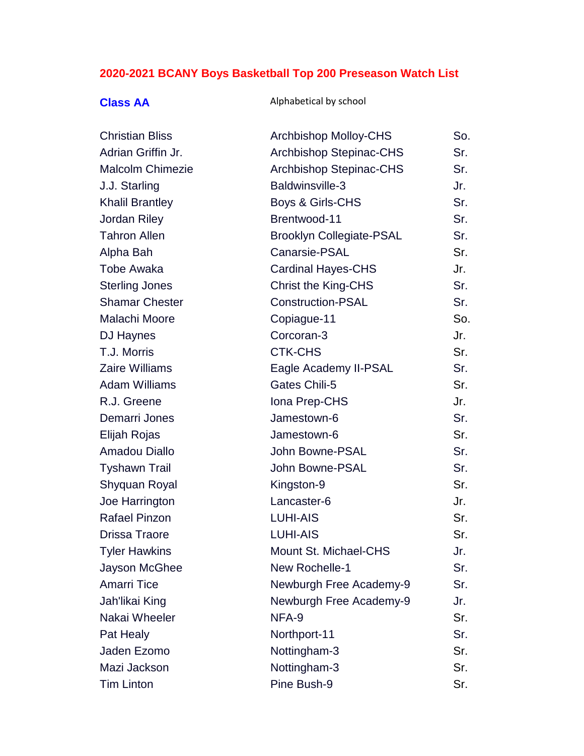# **2020-2021 BCANY Boys Basketball Top 200 Preseason Watch List**

## **Class AA** Alphabetical by school

| <b>Christian Bliss</b>  | <b>Archbishop Molloy-CHS</b>    | So. |
|-------------------------|---------------------------------|-----|
| Adrian Griffin Jr.      | <b>Archbishop Stepinac-CHS</b>  | Sr. |
| <b>Malcolm Chimezie</b> | <b>Archbishop Stepinac-CHS</b>  | Sr. |
| J.J. Starling           | Baldwinsville-3                 | Jr. |
| <b>Khalil Brantley</b>  | Boys & Girls-CHS                | Sr. |
| <b>Jordan Riley</b>     | Brentwood-11                    | Sr. |
| <b>Tahron Allen</b>     | <b>Brooklyn Collegiate-PSAL</b> | Sr. |
| Alpha Bah               | Canarsie-PSAL                   | Sr. |
| <b>Tobe Awaka</b>       | <b>Cardinal Hayes-CHS</b>       | Jr. |
| <b>Sterling Jones</b>   | <b>Christ the King-CHS</b>      | Sr. |
| <b>Shamar Chester</b>   | <b>Construction-PSAL</b>        | Sr. |
| Malachi Moore           | Copiague-11                     | So. |
| DJ Haynes               | Corcoran-3                      | Jr. |
| T.J. Morris             | <b>CTK-CHS</b>                  | Sr. |
| <b>Zaire Williams</b>   | Eagle Academy II-PSAL           | Sr. |
| <b>Adam Williams</b>    | Gates Chili-5                   | Sr. |
| R.J. Greene             | Iona Prep-CHS                   | Jr. |
| Demarri Jones           | Jamestown-6                     | Sr. |
| Elijah Rojas            | Jamestown-6                     | Sr. |
| <b>Amadou Diallo</b>    | John Bowne-PSAL                 | Sr. |
| <b>Tyshawn Trail</b>    | John Bowne-PSAL                 | Sr. |
| Shyquan Royal           | Kingston-9                      | Sr. |
| Joe Harrington          | Lancaster-6                     | Jr. |
| <b>Rafael Pinzon</b>    | <b>LUHI-AIS</b>                 | Sr. |
| Drissa Traore           | <b>LUHI-AIS</b>                 | Sr. |
| <b>Tyler Hawkins</b>    | Mount St. Michael-CHS           | Jr. |
| Jayson McGhee           | New Rochelle-1                  | Sr. |
| <b>Amarri Tice</b>      | Newburgh Free Academy-9         | Sr. |
| Jah'likai King          | Newburgh Free Academy-9         | Jr. |
| Nakai Wheeler           | NFA-9                           | Sr. |
| Pat Healy               | Northport-11                    | Sr. |
| Jaden Ezomo             | Nottingham-3                    | Sr. |
| Mazi Jackson            | Nottingham-3                    | Sr. |
| <b>Tim Linton</b>       | Pine Bush-9                     | Sr. |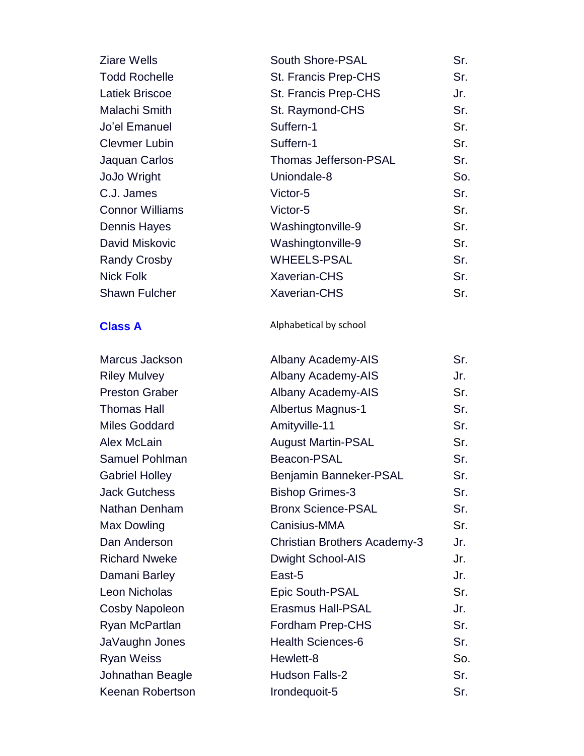| <b>Ziare Wells</b>     | <b>South Shore-PSAL</b>      | Sr. |
|------------------------|------------------------------|-----|
| <b>Todd Rochelle</b>   | St. Francis Prep-CHS         | Sr. |
| <b>Latiek Briscoe</b>  | St. Francis Prep-CHS         | Jr. |
| Malachi Smith          | St. Raymond-CHS              | Sr. |
| Jo'el Emanuel          | Suffern-1                    | Sr. |
| <b>Clevmer Lubin</b>   | Suffern-1                    | Sr. |
| Jaquan Carlos          | <b>Thomas Jefferson-PSAL</b> | Sr. |
| JoJo Wright            | Uniondale-8                  | So. |
| C.J. James             | Victor-5                     | Sr. |
| <b>Connor Williams</b> | Victor-5                     | Sr. |
| <b>Dennis Hayes</b>    | Washingtonville-9            | Sr. |
| David Miskovic         | Washingtonville-9            | Sr. |
| <b>Randy Crosby</b>    | <b>WHEELS-PSAL</b>           | Sr. |
| <b>Nick Folk</b>       | <b>Xaverian-CHS</b>          | Sr. |
| <b>Shawn Fulcher</b>   | <b>Xaverian-CHS</b>          | Sr. |
|                        |                              |     |

Marcus Jackson Riley Mulvey Preston Graber Thomas Hall Miles Goddard Alex McLain Samuel Pohlman Gabriel Holley Jack Gutchess Nathan Denham Max Dowling Dan Anderson Richard Nweke Damani Barley Leon Nicholas Cosby Napoleon Ryan McPartlan JaVaughn Jones Ryan Weiss Johnathan Beagle Keenan Robertson **Irondequoit** 

### **Class A** Alphabetical by school

| Albany Academy-AIS                  | Sr. |
|-------------------------------------|-----|
| <b>Albany Academy-AIS</b>           | Jr. |
| <b>Albany Academy-AIS</b>           | Sr. |
| <b>Albertus Magnus-1</b>            | Sr. |
| Amityville-11                       | Sr. |
| <b>August Martin-PSAL</b>           | Sr. |
| Beacon-PSAL                         | Sr. |
| Benjamin Banneker-PSAL              | Sr. |
| <b>Bishop Grimes-3</b>              | Sr. |
| <b>Bronx Science-PSAL</b>           | Sr. |
| Canisius-MMA                        | Sr. |
| <b>Christian Brothers Academy-3</b> | Jr. |
| <b>Dwight School-AIS</b>            | Jr. |
| East-5                              | Jr. |
| <b>Epic South-PSAL</b>              | Sr. |
| <b>Erasmus Hall-PSAL</b>            | Jr. |
| <b>Fordham Prep-CHS</b>             | Sr. |
| <b>Health Sciences-6</b>            | Sr. |
| Hewlett-8                           | So. |
| <b>Hudson Falls-2</b>               | Sr. |
| Irondequoit-5                       | Sr. |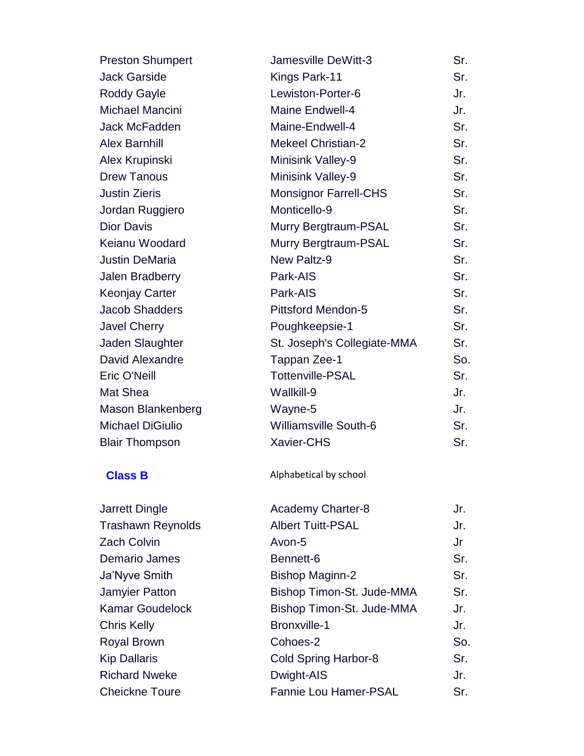| <b>Preston Shumpert</b> | Jamesville DeWitt-3          | Sr. |
|-------------------------|------------------------------|-----|
| <b>Jack Garside</b>     | Kings Park-11                | Sr. |
| <b>Roddy Gayle</b>      | Lewiston-Porter-6            | Jr. |
| Michael Mancini         | Maine Endwell-4              | Jr. |
| Jack McFadden           | Maine-Endwell-4              | Sr. |
| <b>Alex Barnhill</b>    | <b>Mekeel Christian-2</b>    | Sr. |
| Alex Krupinski          | <b>Minisink Valley-9</b>     | Sr. |
| <b>Drew Tanous</b>      | Minisink Valley-9            | Sr. |
| <b>Justin Zieris</b>    | <b>Monsignor Farrell-CHS</b> | Sr. |
| Jordan Ruggiero         | Monticello-9                 | Sr. |
| <b>Dior Davis</b>       | Murry Bergtraum-PSAL         | Sr. |
| Keianu Woodard          | Murry Bergtraum-PSAL         | Sr. |
| <b>Justin DeMaria</b>   | New Paltz-9                  | Sr. |
| Jalen Bradberry         | Park-AIS                     | Sr. |
| <b>Keonjay Carter</b>   | Park-AIS                     | Sr. |
| <b>Jacob Shadders</b>   | <b>Pittsford Mendon-5</b>    | Sr. |
| <b>Javel Cherry</b>     | Poughkeepsie-1               | Sr. |
| Jaden Slaughter         | St. Joseph's Collegiate-MMA  | Sr. |
| David Alexandre         | Tappan Zee-1                 | So. |
| Eric O'Neill            | <b>Tottenville-PSAL</b>      | Sr. |
| Mat Shea                | Wallkill-9                   | Jr. |
| Mason Blankenberg       | Wayne-5                      | Jr. |
| <b>Michael DiGiulio</b> | <b>Williamsville South-6</b> | Sr. |
| <b>Blair Thompson</b>   | <b>Xavier-CHS</b>            | Sr. |
|                         |                              |     |

Jarrett Dingle Trashawn Reynolds Zach Colvin Demario James Ja'Nyve Smith Jamyier Patton Kamar Goudelock Chris Kelly Royal Brown Kip Dallaris Richard Nweke Cheickne Toure

**Class B** Alphabetical by school

| <b>Academy Charter-8</b>     | Jr. |
|------------------------------|-----|
| <b>Albert Tuitt-PSAL</b>     | Jr. |
| Avon-5                       | Jr  |
| Bennett-6                    | Sr. |
| <b>Bishop Maginn-2</b>       | Sr. |
| Bishop Timon-St. Jude-MMA    | Sr. |
| Bishop Timon-St. Jude-MMA    | Jr. |
| <b>Bronxville-1</b>          | Jr. |
| Cohoes-2                     | So. |
| <b>Cold Spring Harbor-8</b>  | Sr. |
| Dwight-AIS                   | Jr. |
| <b>Fannie Lou Hamer-PSAL</b> | Sr  |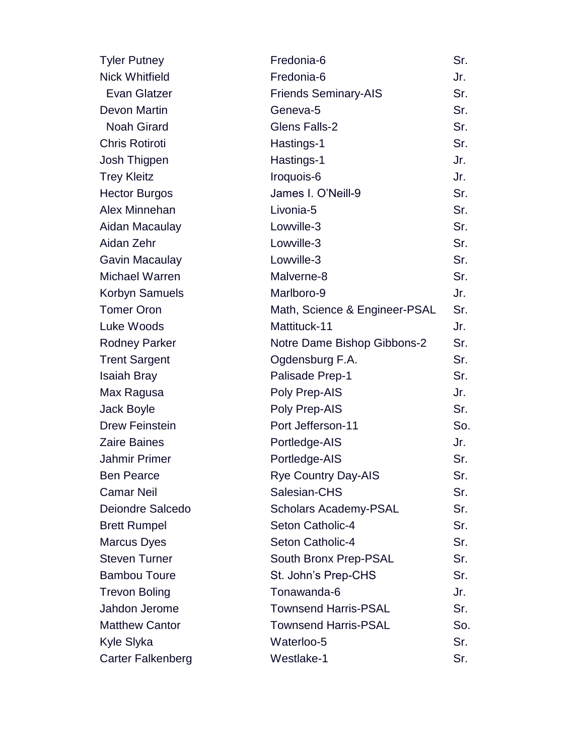| <b>Tyler Putney</b>      | Fredonia-6                    | Sr. |
|--------------------------|-------------------------------|-----|
| <b>Nick Whitfield</b>    | Fredonia-6                    | Jr. |
| <b>Evan Glatzer</b>      | <b>Friends Seminary-AIS</b>   | Sr. |
| Devon Martin             | Geneva-5                      | Sr. |
| <b>Noah Girard</b>       | <b>Glens Falls-2</b>          | Sr. |
| <b>Chris Rotiroti</b>    | Hastings-1                    | Sr. |
| Josh Thigpen             | Hastings-1                    | Jr. |
| <b>Trey Kleitz</b>       | Iroquois-6                    | Jr. |
| <b>Hector Burgos</b>     | James I. O'Neill-9            | Sr. |
| <b>Alex Minnehan</b>     | Livonia-5                     | Sr. |
| Aidan Macaulay           | Lowville-3                    | Sr. |
| Aidan Zehr               | Lowville-3                    | Sr. |
| <b>Gavin Macaulay</b>    | Lowville-3                    | Sr. |
| <b>Michael Warren</b>    | Malverne-8                    | Sr. |
| Korbyn Samuels           | Marlboro-9                    | Jr. |
| <b>Tomer Oron</b>        | Math, Science & Engineer-PSAL | Sr. |
| Luke Woods               | Mattituck-11                  | Jr. |
| <b>Rodney Parker</b>     | Notre Dame Bishop Gibbons-2   | Sr. |
| <b>Trent Sargent</b>     | Ogdensburg F.A.               | Sr. |
| <b>Isaiah Bray</b>       | Palisade Prep-1               | Sr. |
| Max Ragusa               | Poly Prep-AIS                 | Jr. |
| Jack Boyle               | Poly Prep-AIS                 | Sr. |
| <b>Drew Feinstein</b>    | Port Jefferson-11             | So. |
| <b>Zaire Baines</b>      | Portledge-AIS                 | Jr. |
| <b>Jahmir Primer</b>     | Portledge-AIS                 | Sr. |
| <b>Ben Pearce</b>        | <b>Rye Country Day-AIS</b>    | Sr. |
| <b>Camar Neil</b>        | Salesian-CHS                  | Sr. |
| <b>Deiondre Salcedo</b>  | <b>Scholars Academy-PSAL</b>  | Sr. |
| <b>Brett Rumpel</b>      | Seton Catholic-4              | Sr. |
| <b>Marcus Dyes</b>       | Seton Catholic-4              | Sr. |
| <b>Steven Turner</b>     | South Bronx Prep-PSAL         | Sr. |
| <b>Bambou Toure</b>      | St. John's Prep-CHS           | Sr. |
| <b>Trevon Boling</b>     | Tonawanda-6                   | Jr. |
| Jahdon Jerome            | <b>Townsend Harris-PSAL</b>   | Sr. |
| <b>Matthew Cantor</b>    | <b>Townsend Harris-PSAL</b>   | So. |
| Kyle Slyka               | Waterloo-5                    | Sr. |
| <b>Carter Falkenberg</b> | Westlake-1                    | Sr. |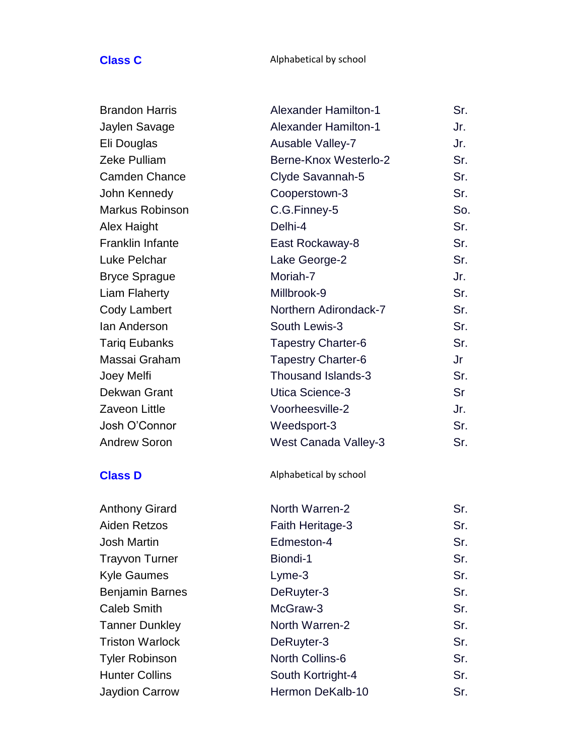### **Class C** Alphabetical by school

| <b>Brandon Harris</b>   | <b>Alexander Hamilton-1</b> | Sr. |
|-------------------------|-----------------------------|-----|
| Jaylen Savage           | <b>Alexander Hamilton-1</b> | Jr. |
| Eli Douglas             | Ausable Valley-7            | Jr. |
| <b>Zeke Pulliam</b>     | Berne-Knox Westerlo-2       | Sr. |
| <b>Camden Chance</b>    | Clyde Savannah-5            | Sr. |
| John Kennedy            | Cooperstown-3               | Sr. |
| <b>Markus Robinson</b>  | C.G.Finney-5                | So. |
| Alex Haight             | Delhi-4                     | Sr. |
| <b>Franklin Infante</b> | East Rockaway-8             | Sr. |
| <b>Luke Pelchar</b>     | Lake George-2               | Sr. |
| <b>Bryce Sprague</b>    | Moriah-7                    | Jr. |
| <b>Liam Flaherty</b>    | Millbrook-9                 | Sr. |
| <b>Cody Lambert</b>     | Northern Adirondack-7       | Sr. |
| lan Anderson            | South Lewis-3               | Sr. |
| <b>Tariq Eubanks</b>    | <b>Tapestry Charter-6</b>   | Sr. |
| Massai Graham           | <b>Tapestry Charter-6</b>   | Jr  |
| Joey Melfi              | Thousand Islands-3          | Sr. |
| <b>Dekwan Grant</b>     | Utica Science-3             | Sr  |
| <b>Zaveon Little</b>    | Voorheesville-2             | Jr. |
| Josh O'Connor           | Weedsport-3                 | Sr. |
| <b>Andrew Soron</b>     | <b>West Canada Valley-3</b> | Sr. |
| <b>Class D</b>          | Alphabetical by school      |     |
| <b>Anthony Girard</b>   | North Warren-2              | Sr. |

Aiden Retzos Josh Martin Trayvon Turner Kyle Gaumes Benjamin Barnes Caleb Smith Tanner Dunkley Triston Warlock Tyler Robinson Hunter Collins Jaydion Carrow

| Sr. |
|-----|
| Sr. |
| Sr. |
| Sr. |
| Sr. |
| Sr. |
| Sr. |
| Sr. |
| Sr. |
| Sr. |
| Sr. |
| Sr  |
|     |